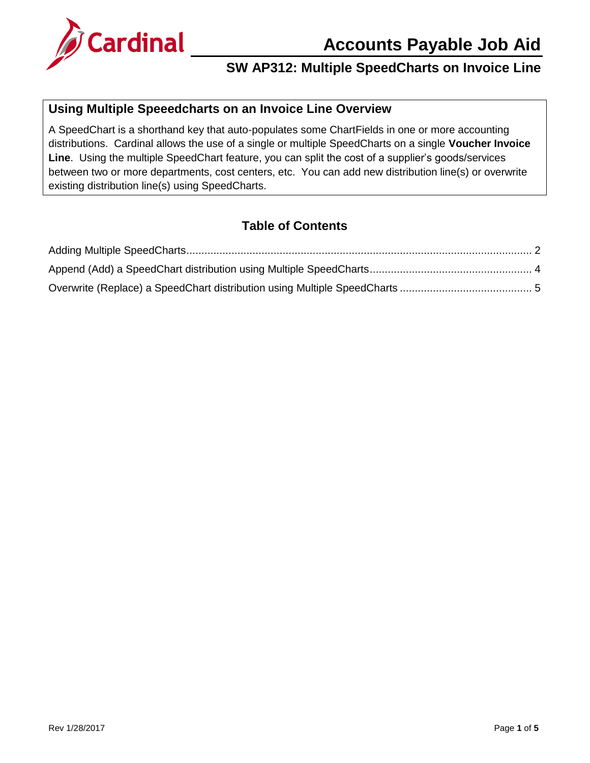

## **SW AP312: Multiple SpeedCharts on Invoice Line**

### **Using Multiple Speeedcharts on an Invoice Line Overview**

A SpeedChart is a shorthand key that auto-populates some ChartFields in one or more accounting distributions. Cardinal allows the use of a single or multiple SpeedCharts on a single **Voucher Invoice Line**. Using the multiple SpeedChart feature, you can split the cost of a supplier's goods/services between two or more departments, cost centers, etc. You can add new distribution line(s) or overwrite existing distribution line(s) using SpeedCharts.

### **Table of Contents**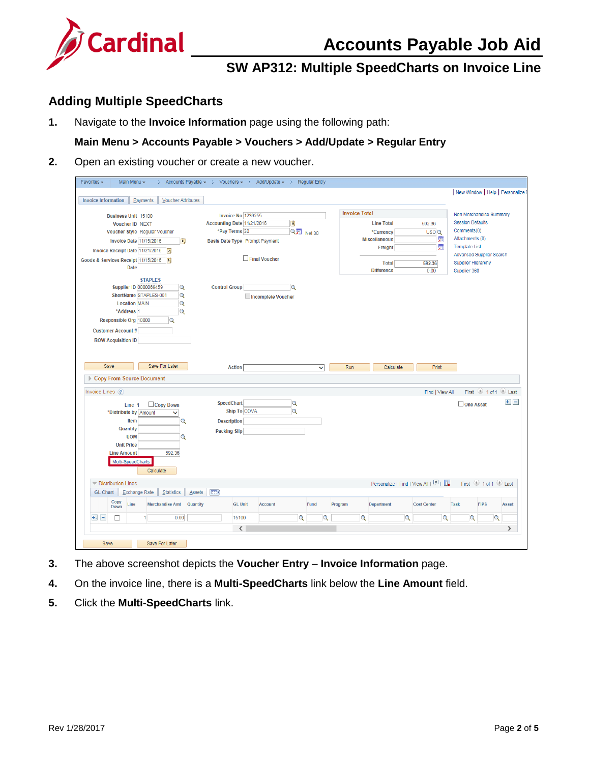



# **SW AP312: Multiple SpeedCharts on Invoice Line**

### <span id="page-1-0"></span>**Adding Multiple SpeedCharts**

**1.** Navigate to the **Invoice Information** page using the following path:

#### **Main Menu > Accounts Payable > Vouchers > Add/Update > Regular Entry**

**2.** Open an existing voucher or create a new voucher.

| New Window   Help   Personalize<br><b>Payments</b><br><b>Voucher Attributes</b><br><b>Invoice Information</b><br><b>Invoice Total</b><br>Non Merchandise Summary<br><b>Invoice No 1239255</b><br><b>Business Unit 15100</b><br><b>Session Defaults</b><br>B)<br>Accounting Date 11/21/2016<br><b>Line Total</b><br>592.36<br><b>Voucher ID NEXT</b><br>QD Net 30<br>Comments(0)<br>*Pay Terms 30<br>Voucher Style Regular Voucher<br>USD <sub>Q</sub><br>*Currency<br>霜<br>Attachments (0)<br><b>Miscellaneous</b><br>Invoice Date 11/15/2016<br>Basis Date Type Prompt Payment<br>B<br>圜<br><b>Template List</b><br>Freight<br>Invoice Receipt Date 11/21/2016<br><b>Advanced Supplier Search</b><br>$\Box$ Final Voucher<br>Goods & Services Receipt 11/15/2016<br>31<br><b>Supplier Hierarchy</b><br><b>Total</b><br>592.36<br><b>Date</b><br><b>Difference</b><br>0.00<br>Supplier 360<br><b>STAPLES</b><br><b>Supplier ID 0000069459</b><br><b>Control Group</b><br>Q<br>Q<br>ShortName STAPLES-001<br>Q<br>Incomplete Voucher<br><b>Location MAIN</b><br>Q<br>*Address 1<br>Q<br>Responsible Org 10000<br>$\alpha$<br><b>Customer Account#</b><br><b>ROW Acquisition ID</b><br>Save For Later<br>Save<br>Run<br>Print<br><b>Action</b><br>Calculate<br>$\checkmark$<br>Copy From Source Document<br>Invoice Lines ?<br>First 1 of 1 2 Last<br>Find   View All<br>$+$ $-$<br><b>SpeedChart</b><br>Q<br>One Asset<br>Copy Down<br>Line 1<br><b>Ship To COVA</b><br>Q<br>*Distribute by Amount<br>$\checkmark$<br>Item<br>Q<br><b>Description</b><br>Quantity<br><b>Packing Slip</b><br><b>UOM</b><br>Q<br><b>Unit Price</b><br><b>Line Amount</b><br>592.36<br>Multi-SpeedCharts<br>Calculate<br>Personalize   Find   View All   $\boxed{2}$   $\boxed{1}$<br><b>V</b> Distribution Lines<br>First 1 of 1 2 Last<br>$\boxed{=}$<br><b>GL Chart</b><br><b>Exchange Rate</b><br><b>Statistics</b><br>Assets<br>Copy<br>Line<br><b>Merchandise Amt</b><br><b>Quantity</b><br><b>GL Unit</b><br><b>Account</b><br>Fund<br>Program<br><b>Department</b><br><b>Cost Center</b><br><b>Task</b><br><b>FIPS</b><br>Asset<br>Down<br>$+$ $-$<br>$\overline{Q}$<br>$\Omega$<br>$\mathbf Q$<br>0.00<br>15100<br>$\overline{Q}$<br>$\mathbf Q$<br>$\mathbf Q$<br>$\alpha$<br>$\langle$<br>$\rightarrow$<br>Save<br>Save For Later | Main Menu - | > Accounts Payable $\star$ > Vouchers $\star$ > Add/Update $\star$ > Regular Entry |  |  |  |  |
|--------------------------------------------------------------------------------------------------------------------------------------------------------------------------------------------------------------------------------------------------------------------------------------------------------------------------------------------------------------------------------------------------------------------------------------------------------------------------------------------------------------------------------------------------------------------------------------------------------------------------------------------------------------------------------------------------------------------------------------------------------------------------------------------------------------------------------------------------------------------------------------------------------------------------------------------------------------------------------------------------------------------------------------------------------------------------------------------------------------------------------------------------------------------------------------------------------------------------------------------------------------------------------------------------------------------------------------------------------------------------------------------------------------------------------------------------------------------------------------------------------------------------------------------------------------------------------------------------------------------------------------------------------------------------------------------------------------------------------------------------------------------------------------------------------------------------------------------------------------------------------------------------------------------------------------------------------------------------------------------------------------------------------------------------------------------------------------------------------------------------------------------------------------------------------------------------------------------------------------------------------------------------------------------------------------------------|-------------|------------------------------------------------------------------------------------|--|--|--|--|
|                                                                                                                                                                                                                                                                                                                                                                                                                                                                                                                                                                                                                                                                                                                                                                                                                                                                                                                                                                                                                                                                                                                                                                                                                                                                                                                                                                                                                                                                                                                                                                                                                                                                                                                                                                                                                                                                                                                                                                                                                                                                                                                                                                                                                                                                                                                          |             |                                                                                    |  |  |  |  |
|                                                                                                                                                                                                                                                                                                                                                                                                                                                                                                                                                                                                                                                                                                                                                                                                                                                                                                                                                                                                                                                                                                                                                                                                                                                                                                                                                                                                                                                                                                                                                                                                                                                                                                                                                                                                                                                                                                                                                                                                                                                                                                                                                                                                                                                                                                                          |             |                                                                                    |  |  |  |  |
|                                                                                                                                                                                                                                                                                                                                                                                                                                                                                                                                                                                                                                                                                                                                                                                                                                                                                                                                                                                                                                                                                                                                                                                                                                                                                                                                                                                                                                                                                                                                                                                                                                                                                                                                                                                                                                                                                                                                                                                                                                                                                                                                                                                                                                                                                                                          |             |                                                                                    |  |  |  |  |
|                                                                                                                                                                                                                                                                                                                                                                                                                                                                                                                                                                                                                                                                                                                                                                                                                                                                                                                                                                                                                                                                                                                                                                                                                                                                                                                                                                                                                                                                                                                                                                                                                                                                                                                                                                                                                                                                                                                                                                                                                                                                                                                                                                                                                                                                                                                          |             |                                                                                    |  |  |  |  |
|                                                                                                                                                                                                                                                                                                                                                                                                                                                                                                                                                                                                                                                                                                                                                                                                                                                                                                                                                                                                                                                                                                                                                                                                                                                                                                                                                                                                                                                                                                                                                                                                                                                                                                                                                                                                                                                                                                                                                                                                                                                                                                                                                                                                                                                                                                                          |             |                                                                                    |  |  |  |  |
|                                                                                                                                                                                                                                                                                                                                                                                                                                                                                                                                                                                                                                                                                                                                                                                                                                                                                                                                                                                                                                                                                                                                                                                                                                                                                                                                                                                                                                                                                                                                                                                                                                                                                                                                                                                                                                                                                                                                                                                                                                                                                                                                                                                                                                                                                                                          |             |                                                                                    |  |  |  |  |
|                                                                                                                                                                                                                                                                                                                                                                                                                                                                                                                                                                                                                                                                                                                                                                                                                                                                                                                                                                                                                                                                                                                                                                                                                                                                                                                                                                                                                                                                                                                                                                                                                                                                                                                                                                                                                                                                                                                                                                                                                                                                                                                                                                                                                                                                                                                          |             |                                                                                    |  |  |  |  |
|                                                                                                                                                                                                                                                                                                                                                                                                                                                                                                                                                                                                                                                                                                                                                                                                                                                                                                                                                                                                                                                                                                                                                                                                                                                                                                                                                                                                                                                                                                                                                                                                                                                                                                                                                                                                                                                                                                                                                                                                                                                                                                                                                                                                                                                                                                                          |             |                                                                                    |  |  |  |  |
|                                                                                                                                                                                                                                                                                                                                                                                                                                                                                                                                                                                                                                                                                                                                                                                                                                                                                                                                                                                                                                                                                                                                                                                                                                                                                                                                                                                                                                                                                                                                                                                                                                                                                                                                                                                                                                                                                                                                                                                                                                                                                                                                                                                                                                                                                                                          |             |                                                                                    |  |  |  |  |
|                                                                                                                                                                                                                                                                                                                                                                                                                                                                                                                                                                                                                                                                                                                                                                                                                                                                                                                                                                                                                                                                                                                                                                                                                                                                                                                                                                                                                                                                                                                                                                                                                                                                                                                                                                                                                                                                                                                                                                                                                                                                                                                                                                                                                                                                                                                          |             |                                                                                    |  |  |  |  |
|                                                                                                                                                                                                                                                                                                                                                                                                                                                                                                                                                                                                                                                                                                                                                                                                                                                                                                                                                                                                                                                                                                                                                                                                                                                                                                                                                                                                                                                                                                                                                                                                                                                                                                                                                                                                                                                                                                                                                                                                                                                                                                                                                                                                                                                                                                                          |             |                                                                                    |  |  |  |  |
|                                                                                                                                                                                                                                                                                                                                                                                                                                                                                                                                                                                                                                                                                                                                                                                                                                                                                                                                                                                                                                                                                                                                                                                                                                                                                                                                                                                                                                                                                                                                                                                                                                                                                                                                                                                                                                                                                                                                                                                                                                                                                                                                                                                                                                                                                                                          |             |                                                                                    |  |  |  |  |
|                                                                                                                                                                                                                                                                                                                                                                                                                                                                                                                                                                                                                                                                                                                                                                                                                                                                                                                                                                                                                                                                                                                                                                                                                                                                                                                                                                                                                                                                                                                                                                                                                                                                                                                                                                                                                                                                                                                                                                                                                                                                                                                                                                                                                                                                                                                          |             |                                                                                    |  |  |  |  |
|                                                                                                                                                                                                                                                                                                                                                                                                                                                                                                                                                                                                                                                                                                                                                                                                                                                                                                                                                                                                                                                                                                                                                                                                                                                                                                                                                                                                                                                                                                                                                                                                                                                                                                                                                                                                                                                                                                                                                                                                                                                                                                                                                                                                                                                                                                                          |             |                                                                                    |  |  |  |  |
|                                                                                                                                                                                                                                                                                                                                                                                                                                                                                                                                                                                                                                                                                                                                                                                                                                                                                                                                                                                                                                                                                                                                                                                                                                                                                                                                                                                                                                                                                                                                                                                                                                                                                                                                                                                                                                                                                                                                                                                                                                                                                                                                                                                                                                                                                                                          |             |                                                                                    |  |  |  |  |
|                                                                                                                                                                                                                                                                                                                                                                                                                                                                                                                                                                                                                                                                                                                                                                                                                                                                                                                                                                                                                                                                                                                                                                                                                                                                                                                                                                                                                                                                                                                                                                                                                                                                                                                                                                                                                                                                                                                                                                                                                                                                                                                                                                                                                                                                                                                          |             |                                                                                    |  |  |  |  |
|                                                                                                                                                                                                                                                                                                                                                                                                                                                                                                                                                                                                                                                                                                                                                                                                                                                                                                                                                                                                                                                                                                                                                                                                                                                                                                                                                                                                                                                                                                                                                                                                                                                                                                                                                                                                                                                                                                                                                                                                                                                                                                                                                                                                                                                                                                                          |             |                                                                                    |  |  |  |  |
|                                                                                                                                                                                                                                                                                                                                                                                                                                                                                                                                                                                                                                                                                                                                                                                                                                                                                                                                                                                                                                                                                                                                                                                                                                                                                                                                                                                                                                                                                                                                                                                                                                                                                                                                                                                                                                                                                                                                                                                                                                                                                                                                                                                                                                                                                                                          |             |                                                                                    |  |  |  |  |
|                                                                                                                                                                                                                                                                                                                                                                                                                                                                                                                                                                                                                                                                                                                                                                                                                                                                                                                                                                                                                                                                                                                                                                                                                                                                                                                                                                                                                                                                                                                                                                                                                                                                                                                                                                                                                                                                                                                                                                                                                                                                                                                                                                                                                                                                                                                          |             |                                                                                    |  |  |  |  |
|                                                                                                                                                                                                                                                                                                                                                                                                                                                                                                                                                                                                                                                                                                                                                                                                                                                                                                                                                                                                                                                                                                                                                                                                                                                                                                                                                                                                                                                                                                                                                                                                                                                                                                                                                                                                                                                                                                                                                                                                                                                                                                                                                                                                                                                                                                                          |             |                                                                                    |  |  |  |  |
|                                                                                                                                                                                                                                                                                                                                                                                                                                                                                                                                                                                                                                                                                                                                                                                                                                                                                                                                                                                                                                                                                                                                                                                                                                                                                                                                                                                                                                                                                                                                                                                                                                                                                                                                                                                                                                                                                                                                                                                                                                                                                                                                                                                                                                                                                                                          |             |                                                                                    |  |  |  |  |
|                                                                                                                                                                                                                                                                                                                                                                                                                                                                                                                                                                                                                                                                                                                                                                                                                                                                                                                                                                                                                                                                                                                                                                                                                                                                                                                                                                                                                                                                                                                                                                                                                                                                                                                                                                                                                                                                                                                                                                                                                                                                                                                                                                                                                                                                                                                          |             |                                                                                    |  |  |  |  |
|                                                                                                                                                                                                                                                                                                                                                                                                                                                                                                                                                                                                                                                                                                                                                                                                                                                                                                                                                                                                                                                                                                                                                                                                                                                                                                                                                                                                                                                                                                                                                                                                                                                                                                                                                                                                                                                                                                                                                                                                                                                                                                                                                                                                                                                                                                                          |             |                                                                                    |  |  |  |  |
|                                                                                                                                                                                                                                                                                                                                                                                                                                                                                                                                                                                                                                                                                                                                                                                                                                                                                                                                                                                                                                                                                                                                                                                                                                                                                                                                                                                                                                                                                                                                                                                                                                                                                                                                                                                                                                                                                                                                                                                                                                                                                                                                                                                                                                                                                                                          |             |                                                                                    |  |  |  |  |
|                                                                                                                                                                                                                                                                                                                                                                                                                                                                                                                                                                                                                                                                                                                                                                                                                                                                                                                                                                                                                                                                                                                                                                                                                                                                                                                                                                                                                                                                                                                                                                                                                                                                                                                                                                                                                                                                                                                                                                                                                                                                                                                                                                                                                                                                                                                          |             |                                                                                    |  |  |  |  |
|                                                                                                                                                                                                                                                                                                                                                                                                                                                                                                                                                                                                                                                                                                                                                                                                                                                                                                                                                                                                                                                                                                                                                                                                                                                                                                                                                                                                                                                                                                                                                                                                                                                                                                                                                                                                                                                                                                                                                                                                                                                                                                                                                                                                                                                                                                                          |             |                                                                                    |  |  |  |  |
|                                                                                                                                                                                                                                                                                                                                                                                                                                                                                                                                                                                                                                                                                                                                                                                                                                                                                                                                                                                                                                                                                                                                                                                                                                                                                                                                                                                                                                                                                                                                                                                                                                                                                                                                                                                                                                                                                                                                                                                                                                                                                                                                                                                                                                                                                                                          |             |                                                                                    |  |  |  |  |
|                                                                                                                                                                                                                                                                                                                                                                                                                                                                                                                                                                                                                                                                                                                                                                                                                                                                                                                                                                                                                                                                                                                                                                                                                                                                                                                                                                                                                                                                                                                                                                                                                                                                                                                                                                                                                                                                                                                                                                                                                                                                                                                                                                                                                                                                                                                          |             |                                                                                    |  |  |  |  |
|                                                                                                                                                                                                                                                                                                                                                                                                                                                                                                                                                                                                                                                                                                                                                                                                                                                                                                                                                                                                                                                                                                                                                                                                                                                                                                                                                                                                                                                                                                                                                                                                                                                                                                                                                                                                                                                                                                                                                                                                                                                                                                                                                                                                                                                                                                                          |             |                                                                                    |  |  |  |  |
|                                                                                                                                                                                                                                                                                                                                                                                                                                                                                                                                                                                                                                                                                                                                                                                                                                                                                                                                                                                                                                                                                                                                                                                                                                                                                                                                                                                                                                                                                                                                                                                                                                                                                                                                                                                                                                                                                                                                                                                                                                                                                                                                                                                                                                                                                                                          |             |                                                                                    |  |  |  |  |
|                                                                                                                                                                                                                                                                                                                                                                                                                                                                                                                                                                                                                                                                                                                                                                                                                                                                                                                                                                                                                                                                                                                                                                                                                                                                                                                                                                                                                                                                                                                                                                                                                                                                                                                                                                                                                                                                                                                                                                                                                                                                                                                                                                                                                                                                                                                          |             |                                                                                    |  |  |  |  |
|                                                                                                                                                                                                                                                                                                                                                                                                                                                                                                                                                                                                                                                                                                                                                                                                                                                                                                                                                                                                                                                                                                                                                                                                                                                                                                                                                                                                                                                                                                                                                                                                                                                                                                                                                                                                                                                                                                                                                                                                                                                                                                                                                                                                                                                                                                                          |             |                                                                                    |  |  |  |  |
|                                                                                                                                                                                                                                                                                                                                                                                                                                                                                                                                                                                                                                                                                                                                                                                                                                                                                                                                                                                                                                                                                                                                                                                                                                                                                                                                                                                                                                                                                                                                                                                                                                                                                                                                                                                                                                                                                                                                                                                                                                                                                                                                                                                                                                                                                                                          |             |                                                                                    |  |  |  |  |
|                                                                                                                                                                                                                                                                                                                                                                                                                                                                                                                                                                                                                                                                                                                                                                                                                                                                                                                                                                                                                                                                                                                                                                                                                                                                                                                                                                                                                                                                                                                                                                                                                                                                                                                                                                                                                                                                                                                                                                                                                                                                                                                                                                                                                                                                                                                          |             |                                                                                    |  |  |  |  |
|                                                                                                                                                                                                                                                                                                                                                                                                                                                                                                                                                                                                                                                                                                                                                                                                                                                                                                                                                                                                                                                                                                                                                                                                                                                                                                                                                                                                                                                                                                                                                                                                                                                                                                                                                                                                                                                                                                                                                                                                                                                                                                                                                                                                                                                                                                                          |             |                                                                                    |  |  |  |  |

- **3.** The above screenshot depicts the **Voucher Entry Invoice Information** page.
- **4.** On the invoice line, there is a **Multi-SpeedCharts** link below the **Line Amount** field.
- **5.** Click the **Multi-SpeedCharts** link.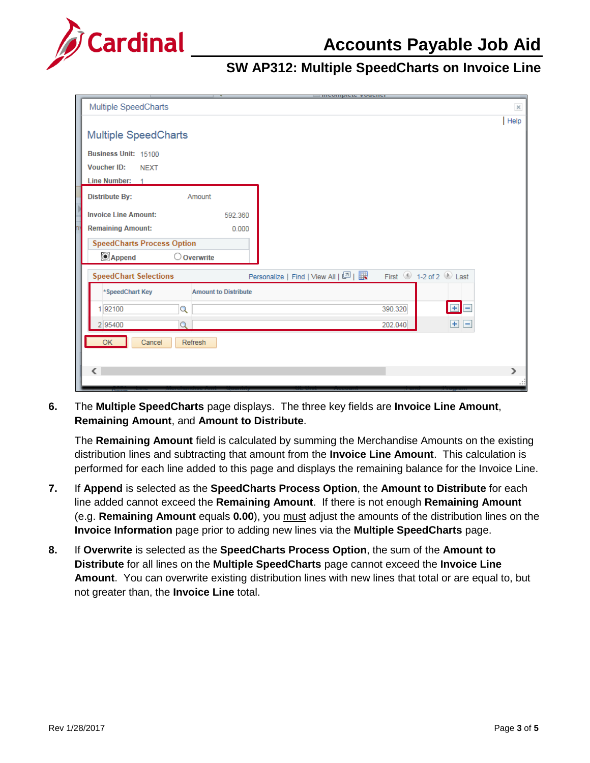

### **SW AP312: Multiple SpeedCharts on Invoice Line**

| <b>INVANISHAM RANNINI</b>                                                                                        |          |
|------------------------------------------------------------------------------------------------------------------|----------|
| <b>Multiple SpeedCharts</b>                                                                                      | $\times$ |
|                                                                                                                  | Help     |
| <b>Multiple SpeedCharts</b>                                                                                      |          |
| Business Unit: 15100                                                                                             |          |
| <b>Voucher ID:</b><br><b>NEXT</b>                                                                                |          |
| Line Number: 1                                                                                                   |          |
| <b>Distribute By:</b><br>Amount                                                                                  |          |
| <b>Invoice Line Amount:</b><br>592.360                                                                           |          |
| <b>Remaining Amount:</b><br>0.000                                                                                |          |
| <b>SpeedCharts Process Option</b>                                                                                |          |
| © Append<br>$\bigcirc$ Overwrite                                                                                 |          |
| First 1-2 of 2 Last<br>Personalize   Find   View All   $\boxed{2}$   $\boxed{1}$<br><b>SpeedChart Selections</b> |          |
| *SpeedChart Key<br><b>Amount to Distribute</b>                                                                   |          |
| EE<br>192100<br>Q<br>390.320                                                                                     |          |
| $+$<br>e<br>2 95400<br>202.040<br>D                                                                              |          |
| OK<br>Cancel<br>Refresh                                                                                          |          |
|                                                                                                                  |          |
| ←                                                                                                                | ⋗        |
|                                                                                                                  | п.       |

**6.** The **Multiple SpeedCharts** page displays. The three key fields are **Invoice Line Amount**, **Remaining Amount**, and **Amount to Distribute**.

The **Remaining Amount** field is calculated by summing the Merchandise Amounts on the existing distribution lines and subtracting that amount from the **Invoice Line Amount**. This calculation is performed for each line added to this page and displays the remaining balance for the Invoice Line.

- **7.** If **Append** is selected as the **SpeedCharts Process Option**, the **Amount to Distribute** for each line added cannot exceed the **Remaining Amount**. If there is not enough **Remaining Amount** (e.g. **Remaining Amount** equals **0.00**), you must adjust the amounts of the distribution lines on the **Invoice Information** page prior to adding new lines via the **Multiple SpeedCharts** page.
- **8.** If **Overwrite** is selected as the **SpeedCharts Process Option**, the sum of the **Amount to Distribute** for all lines on the **Multiple SpeedCharts** page cannot exceed the **Invoice Line Amount**. You can overwrite existing distribution lines with new lines that total or are equal to, but not greater than, the **Invoice Line** total.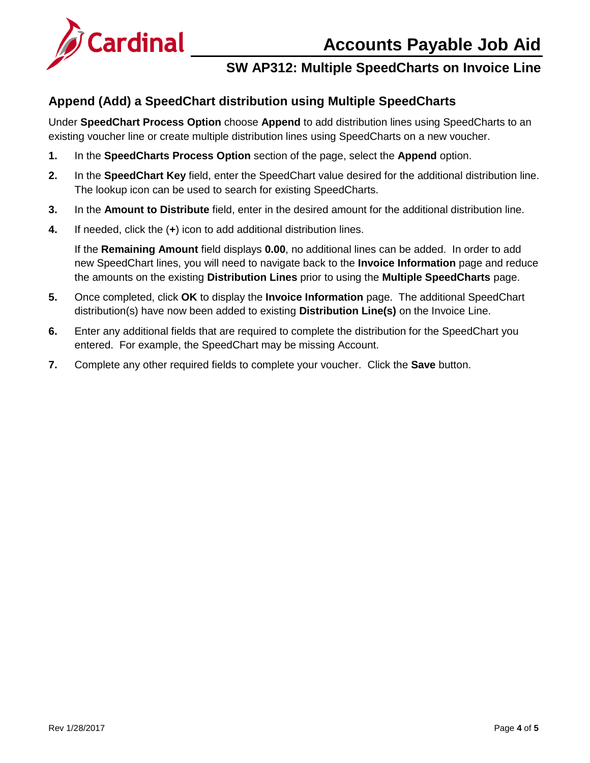# **Accounts Payable Job Aid**



## **SW AP312: Multiple SpeedCharts on Invoice Line**

### <span id="page-3-0"></span>**Append (Add) a SpeedChart distribution using Multiple SpeedCharts**

Under **SpeedChart Process Option** choose **Append** to add distribution lines using SpeedCharts to an existing voucher line or create multiple distribution lines using SpeedCharts on a new voucher.

- **1.** In the **SpeedCharts Process Option** section of the page, select the **Append** option.
- **2.** In the **SpeedChart Key** field, enter the SpeedChart value desired for the additional distribution line. The lookup icon can be used to search for existing SpeedCharts.
- **3.** In the **Amount to Distribute** field, enter in the desired amount for the additional distribution line.
- **4.** If needed, click the (**+**) icon to add additional distribution lines.

If the **Remaining Amount** field displays **0.00**, no additional lines can be added. In order to add new SpeedChart lines, you will need to navigate back to the **Invoice Information** page and reduce the amounts on the existing **Distribution Lines** prior to using the **Multiple SpeedCharts** page.

- **5.** Once completed, click **OK** to display the **Invoice Information** page. The additional SpeedChart distribution(s) have now been added to existing **Distribution Line(s)** on the Invoice Line.
- **6.** Enter any additional fields that are required to complete the distribution for the SpeedChart you entered. For example, the SpeedChart may be missing Account.
- **7.** Complete any other required fields to complete your voucher. Click the **Save** button.